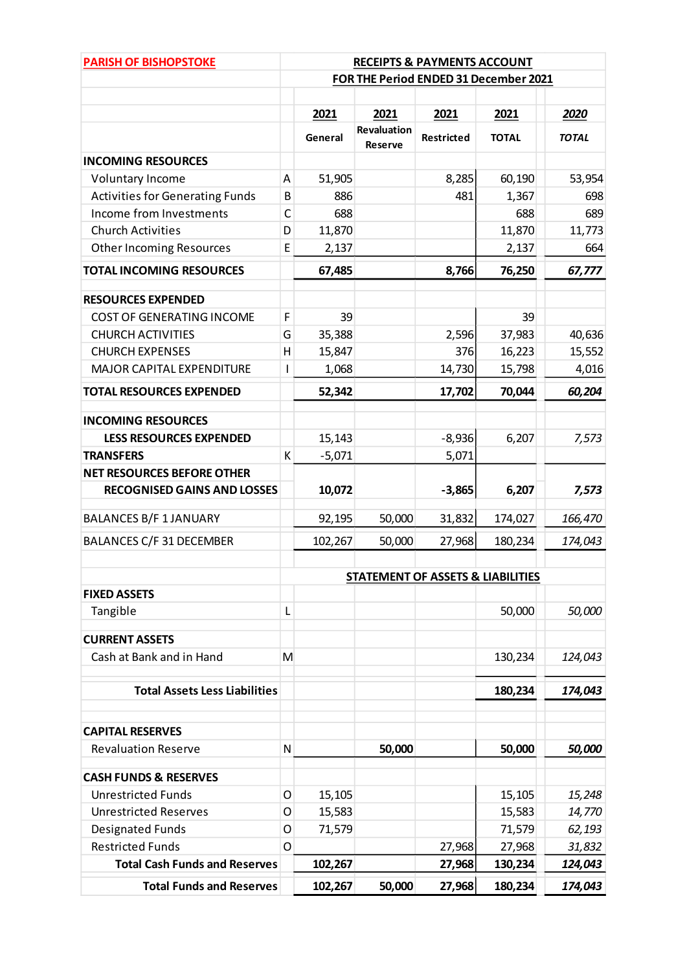| <b>PARISH OF BISHOPSTOKE</b>           | <b>RECEIPTS &amp; PAYMENTS ACCOUNT</b> |          |                                      |                                              |              |              |
|----------------------------------------|----------------------------------------|----------|--------------------------------------|----------------------------------------------|--------------|--------------|
|                                        | FOR THE Period ENDED 31 December 2021  |          |                                      |                                              |              |              |
|                                        |                                        |          |                                      |                                              |              |              |
|                                        |                                        | 2021     | 2021                                 | 2021                                         | 2021         | 2020         |
|                                        |                                        | General  | <b>Revaluation</b><br><b>Reserve</b> | Restricted                                   | <b>TOTAL</b> | <b>TOTAL</b> |
| <b>INCOMING RESOURCES</b>              |                                        |          |                                      |                                              |              |              |
| Voluntary Income                       | A                                      | 51,905   |                                      | 8,285                                        | 60,190       | 53,954       |
| <b>Activities for Generating Funds</b> | B                                      | 886      |                                      | 481                                          | 1,367        | 698          |
| Income from Investments                | C                                      | 688      |                                      |                                              | 688          | 689          |
| <b>Church Activities</b>               | D                                      | 11,870   |                                      |                                              | 11,870       | 11,773       |
| <b>Other Incoming Resources</b>        | E                                      | 2,137    |                                      |                                              | 2,137        | 664          |
| <b>TOTAL INCOMING RESOURCES</b>        |                                        | 67,485   |                                      | 8,766                                        | 76,250       | 67,777       |
| <b>RESOURCES EXPENDED</b>              |                                        |          |                                      |                                              |              |              |
| <b>COST OF GENERATING INCOME</b>       | F                                      | 39       |                                      |                                              | 39           |              |
| <b>CHURCH ACTIVITIES</b>               | G                                      | 35,388   |                                      | 2,596                                        | 37,983       | 40,636       |
| <b>CHURCH EXPENSES</b>                 | H                                      | 15,847   |                                      | 376                                          | 16,223       | 15,552       |
| <b>MAJOR CAPITAL EXPENDITURE</b>       | $\mathbf{I}$                           | 1,068    |                                      | 14,730                                       | 15,798       | 4,016        |
| <b>TOTAL RESOURCES EXPENDED</b>        |                                        | 52,342   |                                      | 17,702                                       | 70,044       | 60,204       |
| <b>INCOMING RESOURCES</b>              |                                        |          |                                      |                                              |              |              |
| <b>LESS RESOURCES EXPENDED</b>         |                                        | 15,143   |                                      | $-8,936$                                     | 6,207        | 7,573        |
| <b>TRANSFERS</b>                       | К                                      | $-5,071$ |                                      | 5,071                                        |              |              |
| <b>NET RESOURCES BEFORE OTHER</b>      |                                        |          |                                      |                                              |              |              |
| <b>RECOGNISED GAINS AND LOSSES</b>     |                                        | 10,072   |                                      | $-3,865$                                     | 6,207        | 7,573        |
| <b>BALANCES B/F 1 JANUARY</b>          |                                        | 92,195   | 50,000                               | 31,832                                       | 174,027      | 166,470      |
| <b>BALANCES C/F 31 DECEMBER</b>        |                                        | 102,267  | 50,000                               | 27,968                                       | 180,234      | 174,043      |
|                                        |                                        |          |                                      | <b>STATEMENT OF ASSETS &amp; LIABILITIES</b> |              |              |
| <b>FIXED ASSETS</b>                    |                                        |          |                                      |                                              |              |              |
| Tangible                               | L                                      |          |                                      |                                              | 50,000       | 50,000       |
| <b>CURRENT ASSETS</b>                  |                                        |          |                                      |                                              |              |              |
| Cash at Bank and in Hand               | M                                      |          |                                      |                                              | 130,234      | 124,043      |
| <b>Total Assets Less Liabilities</b>   |                                        |          |                                      |                                              | 180,234      | 174,043      |
| <b>CAPITAL RESERVES</b>                |                                        |          |                                      |                                              |              |              |
| <b>Revaluation Reserve</b>             | N                                      |          | 50,000                               |                                              | 50,000       | 50,000       |
| <b>CASH FUNDS &amp; RESERVES</b>       |                                        |          |                                      |                                              |              |              |
| <b>Unrestricted Funds</b>              | O                                      | 15,105   |                                      |                                              | 15,105       | 15,248       |
| <b>Unrestricted Reserves</b>           | O                                      | 15,583   |                                      |                                              | 15,583       | 14,770       |
| Designated Funds                       | O                                      | 71,579   |                                      |                                              | 71,579       | 62,193       |
| <b>Restricted Funds</b>                | O                                      |          |                                      | 27,968                                       | 27,968       | 31,832       |
| <b>Total Cash Funds and Reserves</b>   |                                        | 102,267  |                                      | 27,968                                       | 130,234      | 124,043      |
| <b>Total Funds and Reserves</b>        |                                        | 102,267  | 50,000                               | 27,968                                       | 180,234      | 174,043      |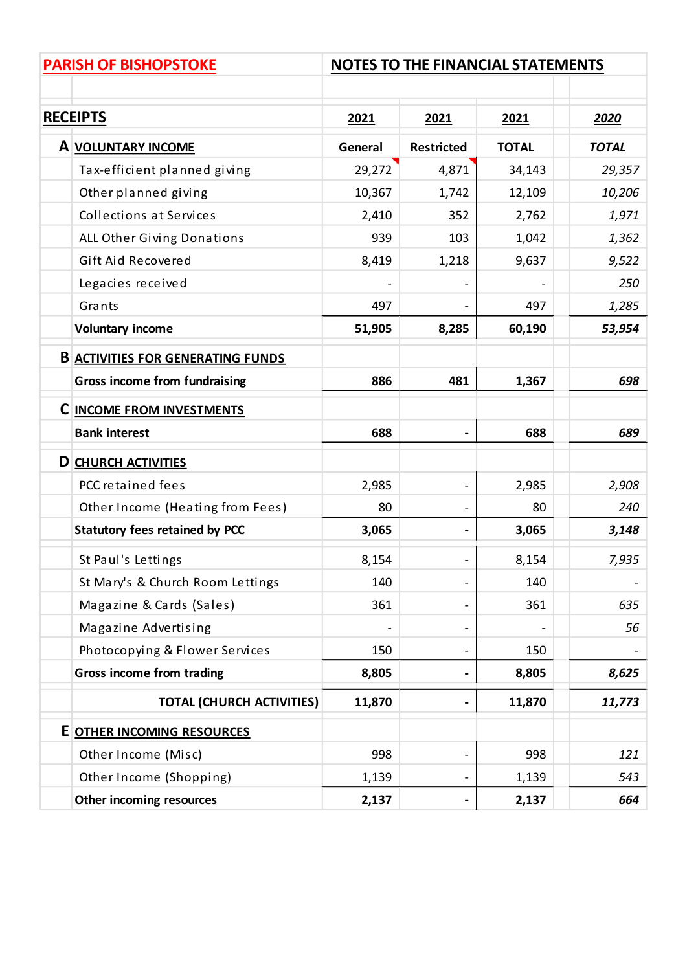|                 | <b>PARISH OF BISHOPSTOKE</b>             | <b>NOTES TO THE FINANCIAL STATEMENTS</b> |                              |              |              |  |
|-----------------|------------------------------------------|------------------------------------------|------------------------------|--------------|--------------|--|
|                 |                                          |                                          |                              |              |              |  |
| <b>RECEIPTS</b> |                                          | 2021                                     | 2021                         | 2021         | 2020         |  |
|                 | A VOLUNTARY INCOME                       | General                                  | <b>Restricted</b>            | <b>TOTAL</b> | <b>TOTAL</b> |  |
|                 | Tax-efficient planned giving             | 29,272                                   | 4,871                        | 34,143       | 29,357       |  |
|                 | Other planned giving                     | 10,367                                   | 1,742                        | 12,109       | 10,206       |  |
|                 | Collections at Services                  | 2,410                                    | 352                          | 2,762        | 1,971        |  |
|                 | ALL Other Giving Donations               | 939                                      | 103                          | 1,042        | 1,362        |  |
|                 | Gift Aid Recovered                       | 8,419                                    | 1,218                        | 9,637        | 9,522        |  |
|                 | Legacies received                        |                                          |                              |              | 250          |  |
|                 | Grants                                   | 497                                      |                              | 497          | 1,285        |  |
|                 | <b>Voluntary income</b>                  | 51,905                                   | 8,285                        | 60,190       | 53,954       |  |
|                 | <b>B ACTIVITIES FOR GENERATING FUNDS</b> |                                          |                              |              |              |  |
|                 | <b>Gross income from fundraising</b>     | 886                                      | 481                          | 1,367        | 698          |  |
|                 | <b>C INCOME FROM INVESTMENTS</b>         |                                          |                              |              |              |  |
|                 | <b>Bank interest</b>                     | 688                                      | $\blacksquare$               | 688          | 689          |  |
|                 | <b>D</b> CHURCH ACTIVITIES               |                                          |                              |              |              |  |
|                 | PCC retained fees                        | 2,985                                    | $\qquad \qquad \blacksquare$ | 2,985        | 2,908        |  |
|                 | Other Income (Heating from Fees)         | 80                                       | $\blacksquare$               | 80           | 240          |  |
|                 | <b>Statutory fees retained by PCC</b>    | 3,065                                    | $\blacksquare$               | 3,065        | 3,148        |  |
|                 | St Paul's Lettings                       | 8,154                                    |                              | 8,154        | 7,935        |  |
|                 | St Mary's & Church Room Lettings         | 140                                      | $\overline{\phantom{0}}$     | 140          |              |  |
|                 | Magazine & Cards (Sales)                 | 361                                      |                              | 361          | 635          |  |
|                 | Magazine Advertising                     |                                          | $\overline{\phantom{0}}$     |              | 56           |  |
|                 | Photocopying & Flower Services           | 150                                      | $\blacksquare$               | 150          |              |  |
|                 | <b>Gross income from trading</b>         | 8,805                                    |                              | 8,805        | 8,625        |  |
|                 | <b>TOTAL (CHURCH ACTIVITIES)</b>         | 11,870                                   |                              | 11,870       | 11,773       |  |
|                 | E OTHER INCOMING RESOURCES               |                                          |                              |              |              |  |
|                 | Other Income (Misc)                      | 998                                      | $\blacksquare$               | 998          | 121          |  |
|                 | Other Income (Shopping)                  | 1,139                                    |                              | 1,139        | 543          |  |
|                 | Other incoming resources                 | 2,137                                    |                              | 2,137        | 664          |  |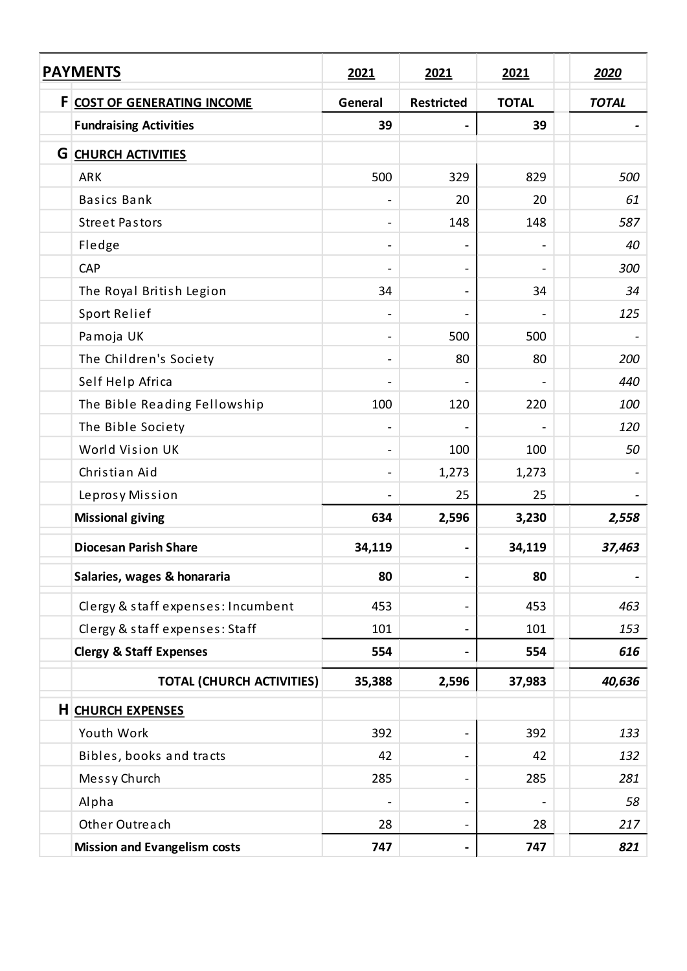| <b>PAYMENTS</b>                     | 2021                     | 2021                         | 2021                         | 2020         |
|-------------------------------------|--------------------------|------------------------------|------------------------------|--------------|
| F COST OF GENERATING INCOME         | General                  | <b>Restricted</b>            | <b>TOTAL</b>                 | <b>TOTAL</b> |
| <b>Fundraising Activities</b>       | 39                       |                              | 39                           |              |
| <b>G CHURCH ACTIVITIES</b>          |                          |                              |                              |              |
| <b>ARK</b>                          | 500                      | 329                          | 829                          | 500          |
| <b>Basics Bank</b>                  | $\overline{\phantom{a}}$ | 20                           | 20                           | 61           |
| <b>Street Pastors</b>               | $\overline{\phantom{a}}$ | 148                          | 148                          | 587          |
| Fledge                              |                          |                              |                              | 40           |
| CAP                                 | $\overline{\phantom{a}}$ | $\overline{\phantom{a}}$     | $\qquad \qquad \blacksquare$ | 300          |
| The Royal British Legion            | 34                       |                              | 34                           | 34           |
| Sport Relief                        |                          |                              |                              | 125          |
| Pamoja UK                           |                          | 500                          | 500                          |              |
| The Children's Society              | $\overline{\phantom{a}}$ | 80                           | 80                           | 200          |
| Self Help Africa                    |                          |                              |                              | 440          |
| The Bible Reading Fellowship        | 100                      | 120                          | 220                          | 100          |
| The Bible Society                   | $\blacksquare$           |                              |                              | 120          |
| World Vision UK                     |                          | 100                          | 100                          | 50           |
| Christian Aid                       |                          | 1,273                        | 1,273                        |              |
| Leprosy Mission                     |                          | 25                           | 25                           |              |
| <b>Missional giving</b>             | 634                      | 2,596                        | 3,230                        | 2,558        |
| <b>Diocesan Parish Share</b>        | 34,119                   |                              | 34,119                       | 37,463       |
| Salaries, wages & honararia         | 80                       | $\qquad \qquad \blacksquare$ | 80                           |              |
| Clergy & staff expenses: Incumbent  | 453                      | $\overline{\phantom{0}}$     | 453                          | 463          |
| Clergy & staff expenses: Staff      | 101                      | $\blacksquare$               | 101                          | 153          |
| <b>Clergy &amp; Staff Expenses</b>  | 554                      |                              | 554                          | 616          |
| <b>TOTAL (CHURCH ACTIVITIES)</b>    | 35,388                   | 2,596                        | 37,983                       | 40,636       |
| <b>H</b> CHURCH EXPENSES            |                          |                              |                              |              |
| Youth Work                          | 392                      | $\qquad \qquad \blacksquare$ | 392                          | 133          |
| Bibles, books and tracts            | 42                       |                              | 42                           | 132          |
| Messy Church                        | 285                      |                              | 285                          | 281          |
| Alpha                               |                          | $\overline{\phantom{a}}$     |                              | 58           |
| Other Outreach                      | 28                       | $\qquad \qquad \blacksquare$ | 28                           | 217          |
| <b>Mission and Evangelism costs</b> | 747                      | -                            | 747                          | 821          |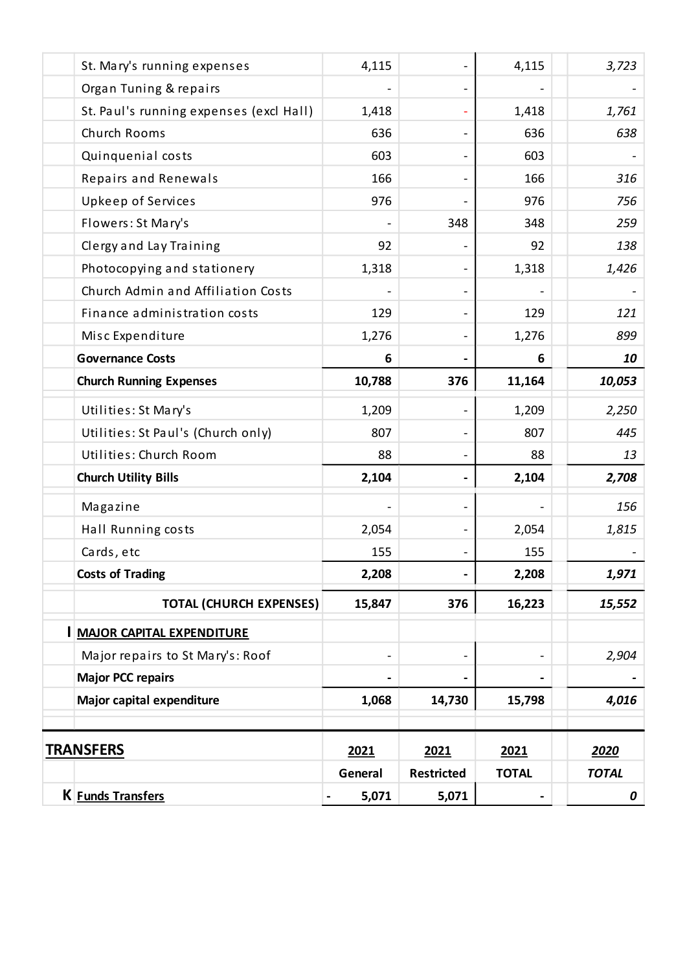| K <b>Funds Transfers</b>                | 5,071                                                                                                                                                                                                                                  | 5,071             |              | 0            |
|-----------------------------------------|----------------------------------------------------------------------------------------------------------------------------------------------------------------------------------------------------------------------------------------|-------------------|--------------|--------------|
|                                         | General                                                                                                                                                                                                                                | <b>Restricted</b> | <b>TOTAL</b> | <b>TOTAL</b> |
|                                         | 2021                                                                                                                                                                                                                                   | 2021              | 2021         | 2020         |
|                                         |                                                                                                                                                                                                                                        |                   |              | 4,016        |
|                                         |                                                                                                                                                                                                                                        |                   |              |              |
| Major repairs to St Mary's: Roof        | $\overline{\phantom{a}}$                                                                                                                                                                                                               |                   |              | 2,904        |
|                                         |                                                                                                                                                                                                                                        |                   |              |              |
| <b>TOTAL (CHURCH EXPENSES)</b>          | 15,847                                                                                                                                                                                                                                 | 376               | 16,223       | 15,552       |
|                                         | 2,208                                                                                                                                                                                                                                  | $\blacksquare$    | 2,208        | 1,971        |
| Cards, etc                              | 155                                                                                                                                                                                                                                    |                   | 155          |              |
| Hall Running costs                      | 2,054                                                                                                                                                                                                                                  |                   | 2,054        | 1,815        |
| Magazine                                |                                                                                                                                                                                                                                        |                   |              | 156          |
|                                         | 2,104                                                                                                                                                                                                                                  |                   | 2,104        | 2,708        |
| Utilities: Church Room                  | 88                                                                                                                                                                                                                                     |                   | 88           | 13           |
| Utilities: St Paul's (Church only)      | 807                                                                                                                                                                                                                                    |                   | 807          | 445          |
| Utilities: St Mary's                    | 1,209                                                                                                                                                                                                                                  |                   | 1,209        | 2,250        |
|                                         | 10,788                                                                                                                                                                                                                                 | 376               | 11,164       | 10,053       |
|                                         | 6                                                                                                                                                                                                                                      |                   | 6            | 10           |
| Misc Expenditure                        | 1,276                                                                                                                                                                                                                                  |                   | 1,276        | 899          |
| Finance administration costs            | 129                                                                                                                                                                                                                                    |                   | 129          | 121          |
| Church Admin and Affiliation Costs      |                                                                                                                                                                                                                                        |                   |              |              |
| Photocopying and stationery             | 1,318                                                                                                                                                                                                                                  |                   | 1,318        | 1,426        |
| Clergy and Lay Training                 | 92                                                                                                                                                                                                                                     |                   | 92           | 138          |
| Flowers: St Mary's                      |                                                                                                                                                                                                                                        | 348               | 348          | 259          |
| Upkeep of Services                      | 976                                                                                                                                                                                                                                    |                   | 976          | 756          |
| Repairs and Renewals                    | 166                                                                                                                                                                                                                                    |                   | 166          | 316          |
| Quinquenial costs                       | 603                                                                                                                                                                                                                                    |                   | 603          |              |
| Church Rooms                            | 636                                                                                                                                                                                                                                    |                   | 636          | 638          |
| St. Paul's running expenses (excl Hall) | 1,418                                                                                                                                                                                                                                  |                   | 1,418        | 1,761        |
| Organ Tuning & repairs                  |                                                                                                                                                                                                                                        |                   |              |              |
| St. Mary's running expenses             | 4,115                                                                                                                                                                                                                                  |                   | 4,115        | 3,723        |
|                                         | <b>Governance Costs</b><br><b>Church Running Expenses</b><br><b>Church Utility Bills</b><br><b>Costs of Trading</b><br><b>I MAJOR CAPITAL EXPENDITURE</b><br><b>Major PCC repairs</b><br>Major capital expenditure<br><b>TRANSFERS</b> | 1,068             | 14,730       | 15,798       |